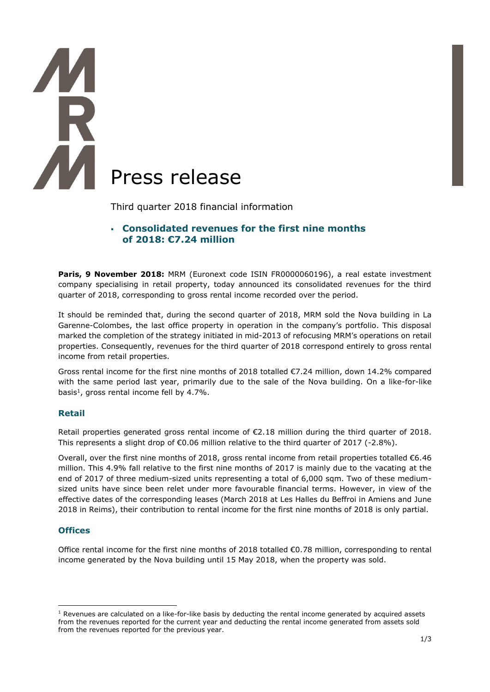

Third quarter 2018 financial information

# ▪ **Consolidated revenues for the first nine months of 2018: €7.24 million**

Paris, 9 November 2018: MRM (Euronext code ISIN FR0000060196), a real estate investment company specialising in retail property, today announced its consolidated revenues for the third quarter of 2018, corresponding to gross rental income recorded over the period.

It should be reminded that, during the second quarter of 2018, MRM sold the Nova building in La Garenne-Colombes, the last office property in operation in the company's portfolio. This disposal marked the completion of the strategy initiated in mid-2013 of refocusing MRM's operations on retail properties. Consequently, revenues for the third quarter of 2018 correspond entirely to gross rental income from retail properties.

Gross rental income for the first nine months of 2018 totalled €7.24 million, down 14.2% compared with the same period last year, primarily due to the sale of the Nova building. On a like-for-like basis<sup>1</sup>, gross rental income fell by 4.7%.

## **Retail**

Retail properties generated gross rental income of €2.18 million during the third quarter of 2018. This represents a slight drop of  $\epsilon$ 0.06 million relative to the third quarter of 2017 (-2.8%).

Overall, over the first nine months of 2018, gross rental income from retail properties totalled €6.46 million. This 4.9% fall relative to the first nine months of 2017 is mainly due to the vacating at the end of 2017 of three medium-sized units representing a total of 6,000 sqm. Two of these mediumsized units have since been relet under more favourable financial terms. However, in view of the effective dates of the corresponding leases (March 2018 at Les Halles du Beffroi in Amiens and June 2018 in Reims), their contribution to rental income for the first nine months of 2018 is only partial.

## **Offices**

Office rental income for the first nine months of 2018 totalled €0.78 million, corresponding to rental income generated by the Nova building until 15 May 2018, when the property was sold.

<sup>1</sup>  $1$  Revenues are calculated on a like-for-like basis by deducting the rental income generated by acquired assets from the revenues reported for the current year and deducting the rental income generated from assets sold from the revenues reported for the previous year.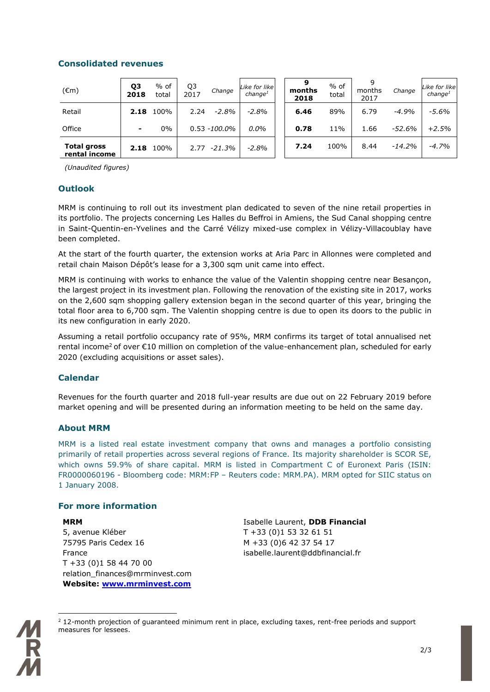# **Consolidated revenues**

| $(\epsilon m)$                      | Q3<br>2018 | % of<br>total | Q3<br>2017 | Change           | Like for like<br>change <sup>1</sup> | months<br>2018 | $%$ of<br>total | q<br>months<br>2017 | Change   | Like for like<br>change <sup>1</sup> |
|-------------------------------------|------------|---------------|------------|------------------|--------------------------------------|----------------|-----------------|---------------------|----------|--------------------------------------|
| Retail                              | 2.18       | 100%          | 2.24       | -2.8%            | $-2.8%$                              | 6.46           | 89%             | 6.79                | $-4.9%$  | $-5.6\%$                             |
| Office                              | -          | 0%            |            | $0.53 - 100.0\%$ | $0.0\%$                              | 0.78           | 11%             | 1.66                | -52.6%   | $+2.5%$                              |
| <b>Total gross</b><br>rental income | 2.18       | 100%          | 2.77       | -21.3%           | $-2.8%$                              | 7.24           | 100%            | 8.44                | $-14.2%$ | $-4.7%$                              |

*(Unaudited figures)*

# **Outlook**

MRM is continuing to roll out its investment plan dedicated to seven of the nine retail properties in its portfolio. The projects concerning Les Halles du Beffroi in Amiens, the Sud Canal shopping centre in Saint-Quentin-en-Yvelines and the Carré Vélizy mixed-use complex in Vélizy-Villacoublay have been completed.

At the start of the fourth quarter, the extension works at Aria Parc in Allonnes were completed and retail chain Maison Dépôt's lease for a 3,300 sqm unit came into effect.

MRM is continuing with works to enhance the value of the Valentin shopping centre near Besançon, the largest project in its investment plan. Following the renovation of the existing site in 2017, works on the 2,600 sqm shopping gallery extension began in the second quarter of this year, bringing the total floor area to 6,700 sqm. The Valentin shopping centre is due to open its doors to the public in its new configuration in early 2020.

Assuming a retail portfolio occupancy rate of 95%, MRM confirms its target of total annualised net rental income<sup>2</sup> of over  $\epsilon$ 10 million on completion of the value-enhancement plan, scheduled for early 2020 (excluding acquisitions or asset sales).

## **Calendar**

Revenues for the fourth quarter and 2018 full-year results are due out on 22 February 2019 before market opening and will be presented during an information meeting to be held on the same day.

## **About MRM**

MRM is a listed real estate investment company that owns and manages a portfolio consisting primarily of retail properties across several regions of France. Its majority shareholder is SCOR SE, which owns 59.9% of share capital. MRM is listed in Compartment C of Euronext Paris (ISIN: FR0000060196 - Bloomberg code: MRM:FP – Reuters code: MRM.PA). MRM opted for SIIC status on 1 January 2008.

## **For more information**

## **MRM**

1

5, avenue Kléber 75795 Paris Cedex 16 France T +33 (0)1 58 44 70 00 relation\_finances@mrminvest.com **Website: [www.mrminvest.com](http://www.mrminvest.com/)** Isabelle Laurent, **DDB Financial** T +33 (0)1 53 32 61 51 M +33 (0)6 42 37 54 17 isabelle.laurent@ddbfinancial.fr



<sup>&</sup>lt;sup>2</sup> 12-month projection of guaranteed minimum rent in place, excluding taxes, rent-free periods and support measures for lessees.